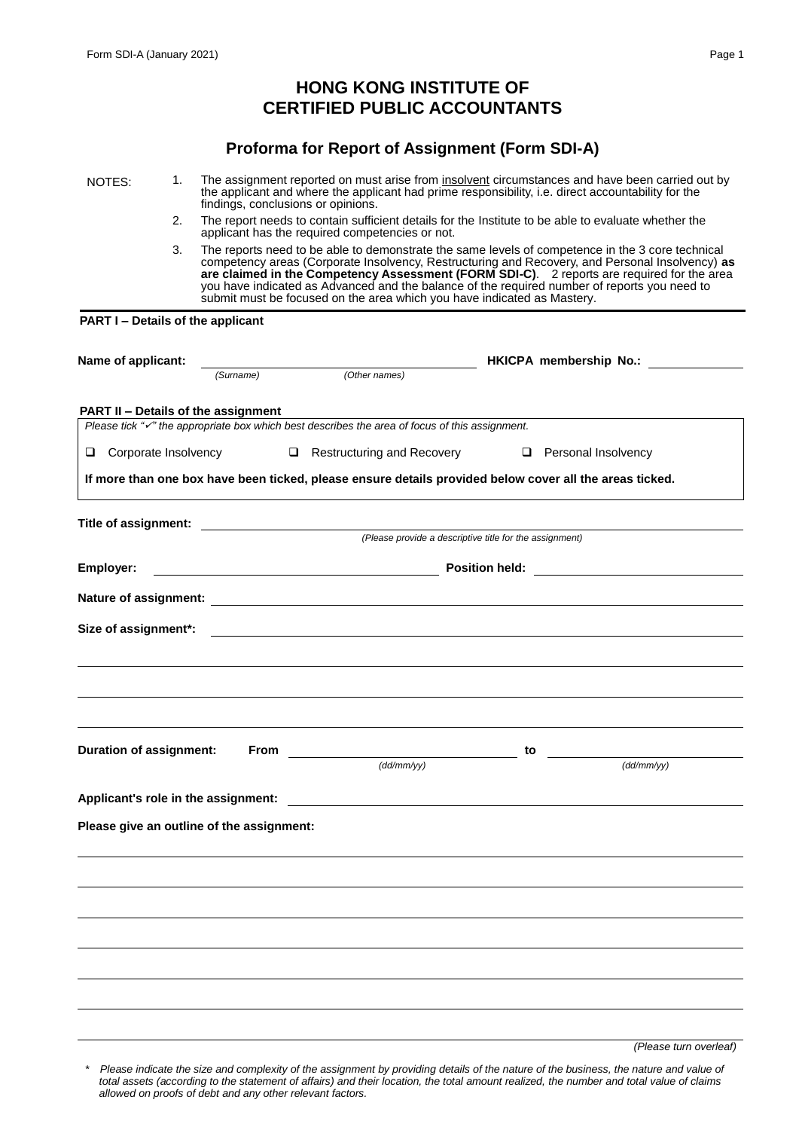# **HONG KONG INSTITUTE OF CERTIFIED PUBLIC ACCOUNTANTS**

# **Proforma for Report of Assignment (Form SDI-A)**

NOTES: 1. The assignment reported on must arise from insolvent circumstances and have been carried out by the applicant and where the applicant had prime responsibility, i.e. direct accountability for the findings, conclusions or opinions.

- 2. The report needs to contain sufficient details for the Institute to be able to evaluate whether the applicant has the required competencies or not.
- 3. The reports need to be able to demonstrate the same levels of competence in the 3 core technical competency areas (Corporate Insolvency, Restructuring and Recovery, and Personal Insolvency) **as are claimed in the Competency Assessment (FORM SDI-C)**. 2 reports are required for the area you have indicated as Advanced and the balance of the required number of reports you need to submit must be focused on the area which you have indicated as Mastery.

#### **PART I – Details of the applicant**

| Name of applicant:                                                                                                                                 |                                            |                            |                                                         | <b>HKICPA membership No.:</b>                                                                           |  |
|----------------------------------------------------------------------------------------------------------------------------------------------------|--------------------------------------------|----------------------------|---------------------------------------------------------|---------------------------------------------------------------------------------------------------------|--|
|                                                                                                                                                    | (Surname)                                  | (Other names)              |                                                         |                                                                                                         |  |
|                                                                                                                                                    |                                            |                            |                                                         |                                                                                                         |  |
| PART II - Details of the assignment<br>Please tick " $\checkmark$ " the appropriate box which best describes the area of focus of this assignment. |                                            |                            |                                                         |                                                                                                         |  |
|                                                                                                                                                    |                                            |                            |                                                         |                                                                                                         |  |
| □ Corporate Insolvency                                                                                                                             |                                            | Restructuring and Recovery |                                                         | Personal Insolvency                                                                                     |  |
|                                                                                                                                                    |                                            |                            |                                                         | If more than one box have been ticked, please ensure details provided below cover all the areas ticked. |  |
|                                                                                                                                                    |                                            |                            |                                                         |                                                                                                         |  |
|                                                                                                                                                    |                                            |                            | (Please provide a descriptive title for the assignment) |                                                                                                         |  |
| Employer:                                                                                                                                          | Position held: <u>____________________</u> |                            |                                                         |                                                                                                         |  |
|                                                                                                                                                    |                                            |                            |                                                         |                                                                                                         |  |
| Size of assignment*:                                                                                                                               |                                            |                            |                                                         |                                                                                                         |  |
|                                                                                                                                                    |                                            |                            |                                                         |                                                                                                         |  |
|                                                                                                                                                    |                                            |                            |                                                         |                                                                                                         |  |
|                                                                                                                                                    |                                            |                            |                                                         |                                                                                                         |  |
|                                                                                                                                                    |                                            |                            |                                                         |                                                                                                         |  |
| <b>Duration of assignment:</b>                                                                                                                     |                                            |                            | to                                                      |                                                                                                         |  |
|                                                                                                                                                    |                                            | (dd/mm/yy)                 |                                                         | $\overline{(dd/mm/yy)}$                                                                                 |  |
| Applicant's role in the assignment: Applicant of the state of the state of the state of the state of the state o                                   |                                            |                            |                                                         |                                                                                                         |  |
| Please give an outline of the assignment:                                                                                                          |                                            |                            |                                                         |                                                                                                         |  |
|                                                                                                                                                    |                                            |                            |                                                         |                                                                                                         |  |
|                                                                                                                                                    |                                            |                            |                                                         |                                                                                                         |  |
|                                                                                                                                                    |                                            |                            |                                                         |                                                                                                         |  |
|                                                                                                                                                    |                                            |                            |                                                         |                                                                                                         |  |
|                                                                                                                                                    |                                            |                            |                                                         |                                                                                                         |  |
|                                                                                                                                                    |                                            |                            |                                                         |                                                                                                         |  |
|                                                                                                                                                    |                                            |                            |                                                         |                                                                                                         |  |

*(Please turn overleaf)*

Please indicate the size and complexity of the assignment by providing details of the nature of the business, the nature and value of *total assets (according to the statement of affairs) and their location, the total amount realized, the number and total value of claims allowed on proofs of debt and any other relevant factors.*